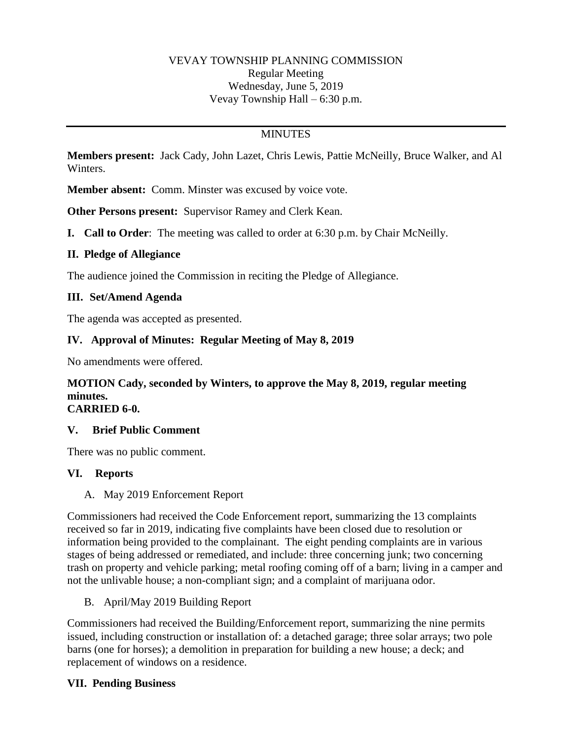## VEVAY TOWNSHIP PLANNING COMMISSION Regular Meeting Wednesday, June 5, 2019 Vevay Township Hall – 6:30 p.m.

### **MINUTES**

**Members present:** Jack Cady, John Lazet, Chris Lewis, Pattie McNeilly, Bruce Walker, and Al Winters.

**Member absent:** Comm. Minster was excused by voice vote.

**Other Persons present:** Supervisor Ramey and Clerk Kean.

**I. Call to Order**: The meeting was called to order at 6:30 p.m. by Chair McNeilly.

### **II. Pledge of Allegiance**

The audience joined the Commission in reciting the Pledge of Allegiance.

### **III. Set/Amend Agenda**

The agenda was accepted as presented.

### **IV. Approval of Minutes: Regular Meeting of May 8, 2019**

No amendments were offered.

# **MOTION Cady, seconded by Winters, to approve the May 8, 2019, regular meeting minutes.**

# **CARRIED 6-0.**

#### **V. Brief Public Comment**

There was no public comment.

#### **VI. Reports**

A. May 2019 Enforcement Report

Commissioners had received the Code Enforcement report, summarizing the 13 complaints received so far in 2019, indicating five complaints have been closed due to resolution or information being provided to the complainant. The eight pending complaints are in various stages of being addressed or remediated, and include: three concerning junk; two concerning trash on property and vehicle parking; metal roofing coming off of a barn; living in a camper and not the unlivable house; a non-compliant sign; and a complaint of marijuana odor.

B. April/May 2019 Building Report

Commissioners had received the Building/Enforcement report, summarizing the nine permits issued, including construction or installation of: a detached garage; three solar arrays; two pole barns (one for horses); a demolition in preparation for building a new house; a deck; and replacement of windows on a residence.

# **VII. Pending Business**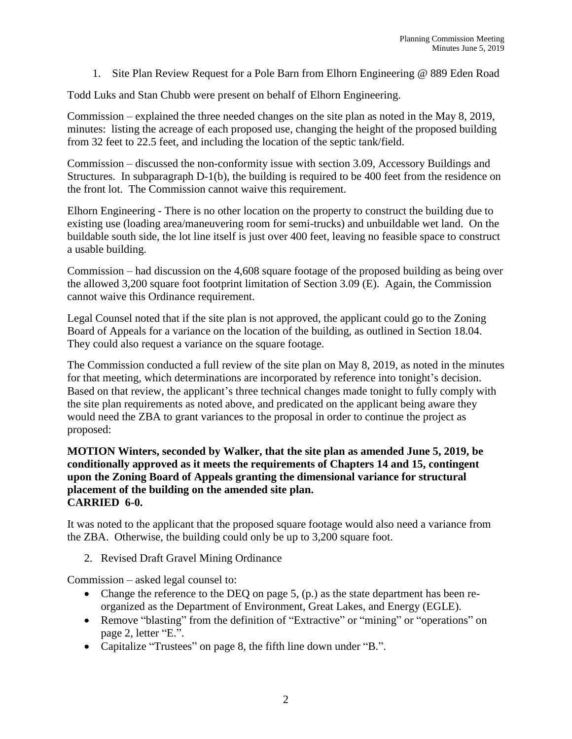1. Site Plan Review Request for a Pole Barn from Elhorn Engineering @ 889 Eden Road

Todd Luks and Stan Chubb were present on behalf of Elhorn Engineering.

Commission – explained the three needed changes on the site plan as noted in the May 8, 2019, minutes: listing the acreage of each proposed use, changing the height of the proposed building from 32 feet to 22.5 feet, and including the location of the septic tank/field.

Commission – discussed the non-conformity issue with section 3.09, Accessory Buildings and Structures. In subparagraph D-1(b), the building is required to be 400 feet from the residence on the front lot. The Commission cannot waive this requirement.

Elhorn Engineering - There is no other location on the property to construct the building due to existing use (loading area/maneuvering room for semi-trucks) and unbuildable wet land. On the buildable south side, the lot line itself is just over 400 feet, leaving no feasible space to construct a usable building.

Commission – had discussion on the 4,608 square footage of the proposed building as being over the allowed 3,200 square foot footprint limitation of Section 3.09 (E). Again, the Commission cannot waive this Ordinance requirement.

Legal Counsel noted that if the site plan is not approved, the applicant could go to the Zoning Board of Appeals for a variance on the location of the building, as outlined in Section 18.04. They could also request a variance on the square footage.

The Commission conducted a full review of the site plan on May 8, 2019, as noted in the minutes for that meeting, which determinations are incorporated by reference into tonight's decision. Based on that review, the applicant's three technical changes made tonight to fully comply with the site plan requirements as noted above, and predicated on the applicant being aware they would need the ZBA to grant variances to the proposal in order to continue the project as proposed:

#### **MOTION Winters, seconded by Walker, that the site plan as amended June 5, 2019, be conditionally approved as it meets the requirements of Chapters 14 and 15, contingent upon the Zoning Board of Appeals granting the dimensional variance for structural placement of the building on the amended site plan. CARRIED 6-0.**

It was noted to the applicant that the proposed square footage would also need a variance from the ZBA. Otherwise, the building could only be up to 3,200 square foot.

2. Revised Draft Gravel Mining Ordinance

Commission – asked legal counsel to:

- Change the reference to the DEQ on page 5, (p.) as the state department has been reorganized as the Department of Environment, Great Lakes, and Energy (EGLE).
- Remove "blasting" from the definition of "Extractive" or "mining" or "operations" on page 2, letter "E.".
- Capitalize "Trustees" on page 8, the fifth line down under "B.".